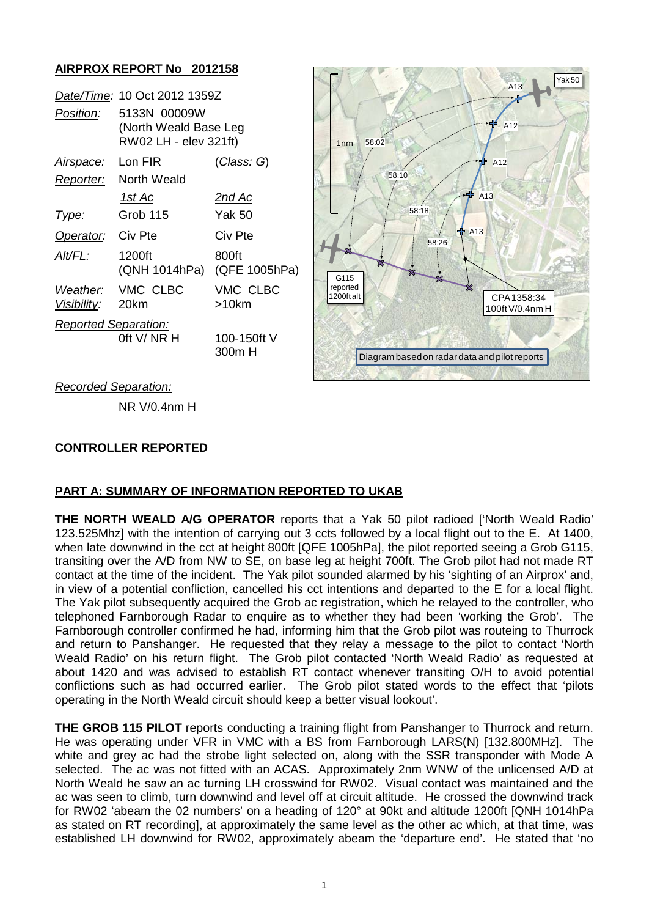## **AIRPROX REPORT No 2012158**

|                             | Date/Time: 10 Oct 2012 1359Z                                   |                        |
|-----------------------------|----------------------------------------------------------------|------------------------|
| Position:                   | 5133N 00009W<br>(North Weald Base Leg<br>RW02 LH - elev 321ft) |                        |
| <u>Airspace:</u>            | Lon FIR                                                        | (Class: G)             |
| Reporter:                   | North Weald                                                    |                        |
|                             | 1st Ac                                                         | 2nd Ac                 |
| Type:                       | Grob 115                                                       | Yak 50                 |
| Operator:                   | Civ Pte                                                        | Civ Pte                |
| Alt/FL:                     | 1200ft<br>(QNH 1014hPa)                                        | 800ft<br>(QFE 1005hPa) |
| Visibility: 20km            | Weather: VMC CLBC                                              | VMC CLBC<br>>10km      |
| <b>Reported Separation:</b> | 0ft V/ NR H                                                    | 100-150ft V<br>300m H  |



#### *Recorded Separation:*

NR V/0.4nm H

# **CONTROLLER REPORTED**

### **PART A: SUMMARY OF INFORMATION REPORTED TO UKAB**

**THE NORTH WEALD A/G OPERATOR** reports that a Yak 50 pilot radioed ['North Weald Radio' 123.525Mhz] with the intention of carrying out 3 ccts followed by a local flight out to the E. At 1400, when late downwind in the cct at height 800ft [QFE 1005hPa], the pilot reported seeing a Grob G115, transiting over the A/D from NW to SE, on base leg at height 700ft. The Grob pilot had not made RT contact at the time of the incident. The Yak pilot sounded alarmed by his 'sighting of an Airprox' and, in view of a potential confliction, cancelled his cct intentions and departed to the E for a local flight. The Yak pilot subsequently acquired the Grob ac registration, which he relayed to the controller, who telephoned Farnborough Radar to enquire as to whether they had been 'working the Grob'. The Farnborough controller confirmed he had, informing him that the Grob pilot was routeing to Thurrock and return to Panshanger. He requested that they relay a message to the pilot to contact 'North Weald Radio' on his return flight. The Grob pilot contacted 'North Weald Radio' as requested at about 1420 and was advised to establish RT contact whenever transiting O/H to avoid potential conflictions such as had occurred earlier. The Grob pilot stated words to the effect that 'pilots operating in the North Weald circuit should keep a better visual lookout'.

**THE GROB 115 PILOT** reports conducting a training flight from Panshanger to Thurrock and return. He was operating under VFR in VMC with a BS from Farnborough LARS(N) [132.800MHz]. The white and grey ac had the strobe light selected on, along with the SSR transponder with Mode A selected. The ac was not fitted with an ACAS. Approximately 2nm WNW of the unlicensed A/D at North Weald he saw an ac turning LH crosswind for RW02. Visual contact was maintained and the ac was seen to climb, turn downwind and level off at circuit altitude. He crossed the downwind track for RW02 'abeam the 02 numbers' on a heading of 120° at 90kt and altitude 1200ft [QNH 1014hPa as stated on RT recording], at approximately the same level as the other ac which, at that time, was established LH downwind for RW02, approximately abeam the 'departure end'. He stated that 'no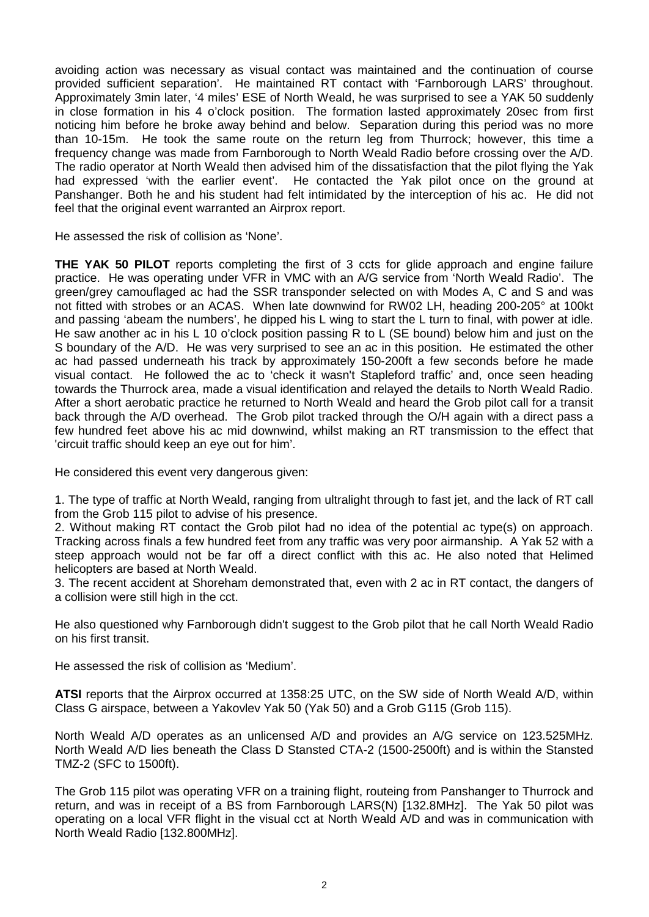avoiding action was necessary as visual contact was maintained and the continuation of course provided sufficient separation'. He maintained RT contact with 'Farnborough LARS' throughout. Approximately 3min later, '4 miles' ESE of North Weald, he was surprised to see a YAK 50 suddenly in close formation in his 4 o'clock position. The formation lasted approximately 20sec from first noticing him before he broke away behind and below. Separation during this period was no more than 10-15m. He took the same route on the return leg from Thurrock; however, this time a frequency change was made from Farnborough to North Weald Radio before crossing over the A/D. The radio operator at North Weald then advised him of the dissatisfaction that the pilot flying the Yak had expressed 'with the earlier event'. He contacted the Yak pilot once on the ground at Panshanger. Both he and his student had felt intimidated by the interception of his ac. He did not feel that the original event warranted an Airprox report.

He assessed the risk of collision as 'None'.

**THE YAK 50 PILOT** reports completing the first of 3 ccts for glide approach and engine failure practice. He was operating under VFR in VMC with an A/G service from 'North Weald Radio'. The green/grey camouflaged ac had the SSR transponder selected on with Modes A, C and S and was not fitted with strobes or an ACAS. When late downwind for RW02 LH, heading 200-205° at 100kt and passing 'abeam the numbers', he dipped his L wing to start the L turn to final, with power at idle. He saw another ac in his L 10 o'clock position passing R to L (SE bound) below him and just on the S boundary of the A/D. He was very surprised to see an ac in this position. He estimated the other ac had passed underneath his track by approximately 150-200ft a few seconds before he made visual contact. He followed the ac to 'check it wasn't Stapleford traffic' and, once seen heading towards the Thurrock area, made a visual identification and relayed the details to North Weald Radio. After a short aerobatic practice he returned to North Weald and heard the Grob pilot call for a transit back through the A/D overhead. The Grob pilot tracked through the O/H again with a direct pass a few hundred feet above his ac mid downwind, whilst making an RT transmission to the effect that 'circuit traffic should keep an eye out for him'.

He considered this event very dangerous given:

1. The type of traffic at North Weald, ranging from ultralight through to fast jet, and the lack of RT call from the Grob 115 pilot to advise of his presence.

2. Without making RT contact the Grob pilot had no idea of the potential ac type(s) on approach. Tracking across finals a few hundred feet from any traffic was very poor airmanship. A Yak 52 with a steep approach would not be far off a direct conflict with this ac. He also noted that Helimed helicopters are based at North Weald.

3. The recent accident at Shoreham demonstrated that, even with 2 ac in RT contact, the dangers of a collision were still high in the cct.

He also questioned why Farnborough didn't suggest to the Grob pilot that he call North Weald Radio on his first transit.

He assessed the risk of collision as 'Medium'.

**ATSI** reports that the Airprox occurred at 1358:25 UTC, on the SW side of North Weald A/D, within Class G airspace, between a Yakovlev Yak 50 (Yak 50) and a Grob G115 (Grob 115).

North Weald A/D operates as an unlicensed A/D and provides an A/G service on 123.525MHz. North Weald A/D lies beneath the Class D Stansted CTA-2 (1500-2500ft) and is within the Stansted TMZ-2 (SFC to 1500ft).

The Grob 115 pilot was operating VFR on a training flight, routeing from Panshanger to Thurrock and return, and was in receipt of a BS from Farnborough LARS(N) [132.8MHz]. The Yak 50 pilot was operating on a local VFR flight in the visual cct at North Weald A/D and was in communication with North Weald Radio [132.800MHz].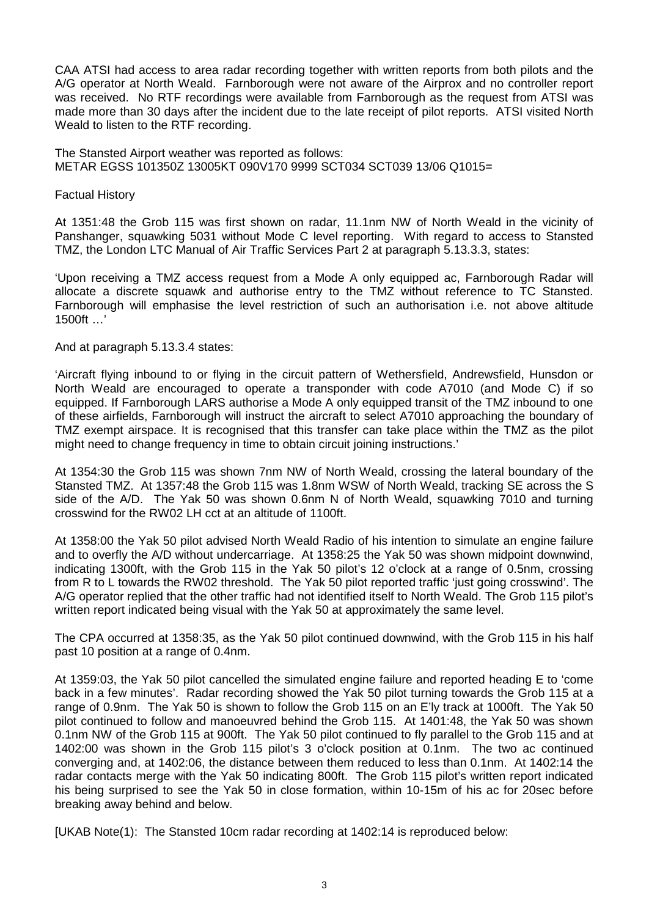CAA ATSI had access to area radar recording together with written reports from both pilots and the A/G operator at North Weald. Farnborough were not aware of the Airprox and no controller report was received. No RTF recordings were available from Farnborough as the request from ATSI was made more than 30 days after the incident due to the late receipt of pilot reports. ATSI visited North Weald to listen to the RTF recording.

The Stansted Airport weather was reported as follows: METAR EGSS 101350Z 13005KT 090V170 9999 SCT034 SCT039 13/06 Q1015=

Factual History

At 1351:48 the Grob 115 was first shown on radar, 11.1nm NW of North Weald in the vicinity of Panshanger, squawking 5031 without Mode C level reporting. With regard to access to Stansted TMZ, the London LTC Manual of Air Traffic Services Part 2 at paragraph 5.13.3.3, states:

'Upon receiving a TMZ access request from a Mode A only equipped ac, Farnborough Radar will allocate a discrete squawk and authorise entry to the TMZ without reference to TC Stansted. Farnborough will emphasise the level restriction of such an authorisation i.e. not above altitude 1500ft …'

And at paragraph 5.13.3.4 states:

'Aircraft flying inbound to or flying in the circuit pattern of Wethersfield, Andrewsfield, Hunsdon or North Weald are encouraged to operate a transponder with code A7010 (and Mode C) if so equipped. If Farnborough LARS authorise a Mode A only equipped transit of the TMZ inbound to one of these airfields, Farnborough will instruct the aircraft to select A7010 approaching the boundary of TMZ exempt airspace. It is recognised that this transfer can take place within the TMZ as the pilot might need to change frequency in time to obtain circuit joining instructions.'

At 1354:30 the Grob 115 was shown 7nm NW of North Weald, crossing the lateral boundary of the Stansted TMZ. At 1357:48 the Grob 115 was 1.8nm WSW of North Weald, tracking SE across the S side of the A/D. The Yak 50 was shown 0.6nm N of North Weald, squawking 7010 and turning crosswind for the RW02 LH cct at an altitude of 1100ft.

At 1358:00 the Yak 50 pilot advised North Weald Radio of his intention to simulate an engine failure and to overfly the A/D without undercarriage. At 1358:25 the Yak 50 was shown midpoint downwind, indicating 1300ft, with the Grob 115 in the Yak 50 pilot's 12 o'clock at a range of 0.5nm, crossing from R to L towards the RW02 threshold. The Yak 50 pilot reported traffic 'just going crosswind'. The A/G operator replied that the other traffic had not identified itself to North Weald. The Grob 115 pilot's written report indicated being visual with the Yak 50 at approximately the same level.

The CPA occurred at 1358:35, as the Yak 50 pilot continued downwind, with the Grob 115 in his half past 10 position at a range of 0.4nm.

At 1359:03, the Yak 50 pilot cancelled the simulated engine failure and reported heading E to 'come back in a few minutes'. Radar recording showed the Yak 50 pilot turning towards the Grob 115 at a range of 0.9nm. The Yak 50 is shown to follow the Grob 115 on an E'ly track at 1000ft. The Yak 50 pilot continued to follow and manoeuvred behind the Grob 115. At 1401:48, the Yak 50 was shown 0.1nm NW of the Grob 115 at 900ft. The Yak 50 pilot continued to fly parallel to the Grob 115 and at 1402:00 was shown in the Grob 115 pilot's 3 o'clock position at 0.1nm. The two ac continued converging and, at 1402:06, the distance between them reduced to less than 0.1nm. At 1402:14 the radar contacts merge with the Yak 50 indicating 800ft. The Grob 115 pilot's written report indicated his being surprised to see the Yak 50 in close formation, within 10-15m of his ac for 20sec before breaking away behind and below.

[UKAB Note(1): The Stansted 10cm radar recording at 1402:14 is reproduced below: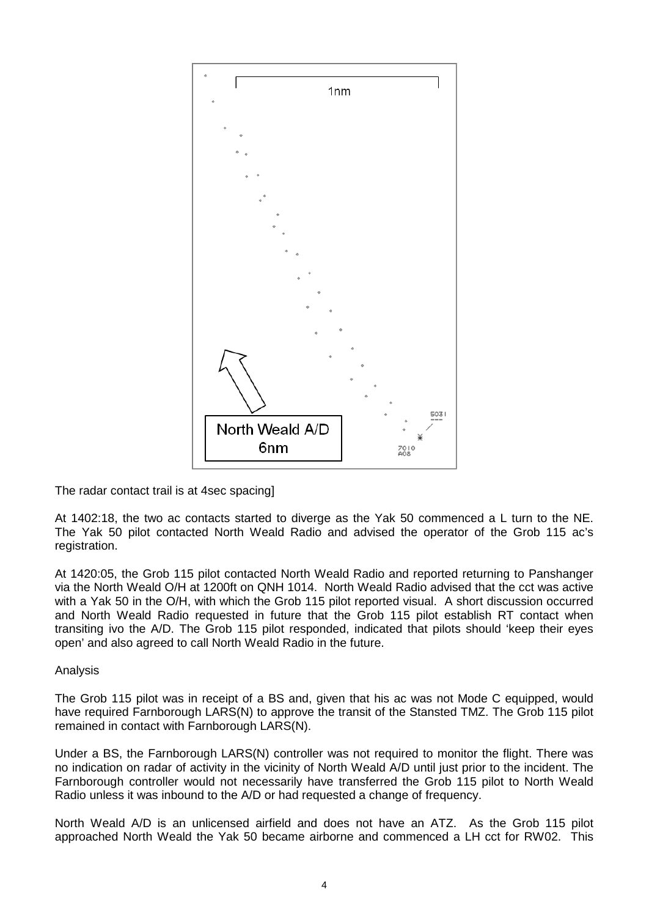

The radar contact trail is at 4sec spacing]

At 1402:18, the two ac contacts started to diverge as the Yak 50 commenced a L turn to the NE. The Yak 50 pilot contacted North Weald Radio and advised the operator of the Grob 115 ac's registration.

At 1420:05, the Grob 115 pilot contacted North Weald Radio and reported returning to Panshanger via the North Weald O/H at 1200ft on QNH 1014. North Weald Radio advised that the cct was active with a Yak 50 in the O/H, with which the Grob 115 pilot reported visual. A short discussion occurred and North Weald Radio requested in future that the Grob 115 pilot establish RT contact when transiting ivo the A/D. The Grob 115 pilot responded, indicated that pilots should 'keep their eyes open' and also agreed to call North Weald Radio in the future.

### Analysis

The Grob 115 pilot was in receipt of a BS and, given that his ac was not Mode C equipped, would have required Farnborough LARS(N) to approve the transit of the Stansted TMZ. The Grob 115 pilot remained in contact with Farnborough LARS(N).

Under a BS, the Farnborough LARS(N) controller was not required to monitor the flight. There was no indication on radar of activity in the vicinity of North Weald A/D until just prior to the incident. The Farnborough controller would not necessarily have transferred the Grob 115 pilot to North Weald Radio unless it was inbound to the A/D or had requested a change of frequency.

North Weald A/D is an unlicensed airfield and does not have an ATZ. As the Grob 115 pilot approached North Weald the Yak 50 became airborne and commenced a LH cct for RW02. This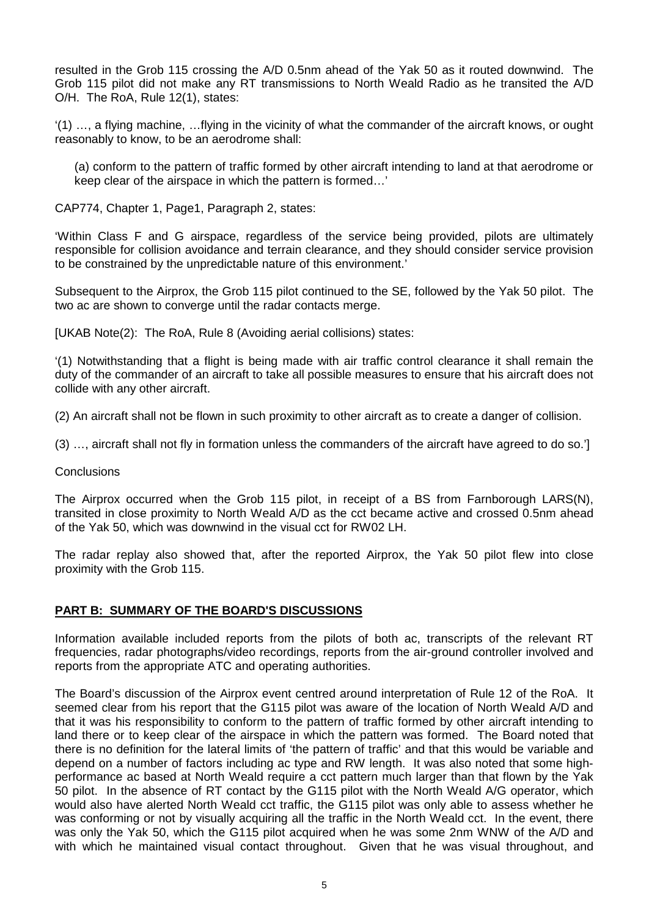resulted in the Grob 115 crossing the A/D 0.5nm ahead of the Yak 50 as it routed downwind. The Grob 115 pilot did not make any RT transmissions to North Weald Radio as he transited the A/D O/H. The RoA, Rule 12(1), states:

'(1) …, a flying machine, …flying in the vicinity of what the commander of the aircraft knows, or ought reasonably to know, to be an aerodrome shall:

(a) conform to the pattern of traffic formed by other aircraft intending to land at that aerodrome or keep clear of the airspace in which the pattern is formed…'

CAP774, Chapter 1, Page1, Paragraph 2, states:

'Within Class F and G airspace, regardless of the service being provided, pilots are ultimately responsible for collision avoidance and terrain clearance, and they should consider service provision to be constrained by the unpredictable nature of this environment.'

Subsequent to the Airprox, the Grob 115 pilot continued to the SE, followed by the Yak 50 pilot. The two ac are shown to converge until the radar contacts merge.

[UKAB Note(2): The RoA, Rule 8 (Avoiding aerial collisions) states:

'(1) Notwithstanding that a flight is being made with air traffic control clearance it shall remain the duty of the commander of an aircraft to take all possible measures to ensure that his aircraft does not collide with any other aircraft.

(2) An aircraft shall not be flown in such proximity to other aircraft as to create a danger of collision.

(3) …, aircraft shall not fly in formation unless the commanders of the aircraft have agreed to do so.']

**Conclusions** 

The Airprox occurred when the Grob 115 pilot, in receipt of a BS from Farnborough LARS(N), transited in close proximity to North Weald A/D as the cct became active and crossed 0.5nm ahead of the Yak 50, which was downwind in the visual cct for RW02 LH.

The radar replay also showed that, after the reported Airprox, the Yak 50 pilot flew into close proximity with the Grob 115.

### **PART B: SUMMARY OF THE BOARD'S DISCUSSIONS**

Information available included reports from the pilots of both ac, transcripts of the relevant RT frequencies, radar photographs/video recordings, reports from the air-ground controller involved and reports from the appropriate ATC and operating authorities.

The Board's discussion of the Airprox event centred around interpretation of Rule 12 of the RoA. It seemed clear from his report that the G115 pilot was aware of the location of North Weald A/D and that it was his responsibility to conform to the pattern of traffic formed by other aircraft intending to land there or to keep clear of the airspace in which the pattern was formed. The Board noted that there is no definition for the lateral limits of 'the pattern of traffic' and that this would be variable and depend on a number of factors including ac type and RW length. It was also noted that some highperformance ac based at North Weald require a cct pattern much larger than that flown by the Yak 50 pilot. In the absence of RT contact by the G115 pilot with the North Weald A/G operator, which would also have alerted North Weald cct traffic, the G115 pilot was only able to assess whether he was conforming or not by visually acquiring all the traffic in the North Weald cct. In the event, there was only the Yak 50, which the G115 pilot acquired when he was some 2nm WNW of the A/D and with which he maintained visual contact throughout. Given that he was visual throughout, and